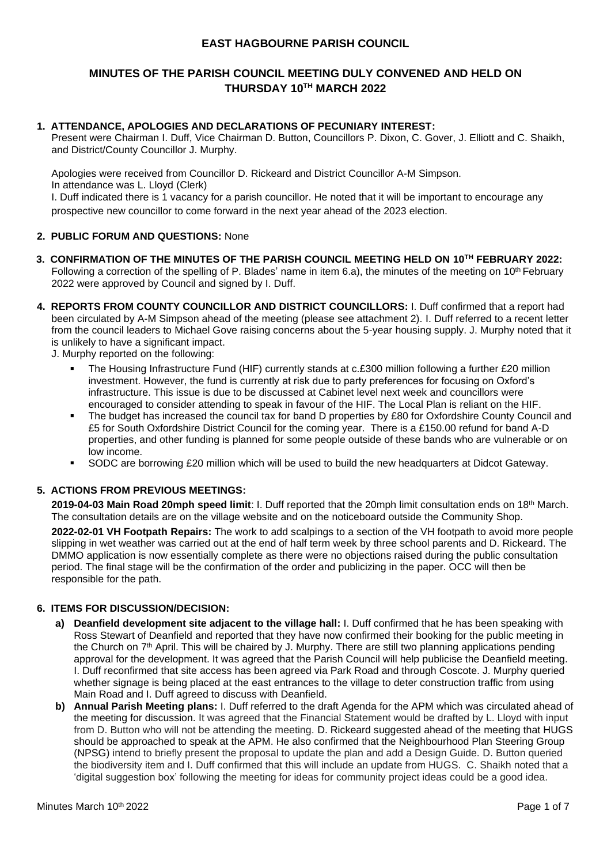# **EAST HAGBOURNE PARISH COUNCIL**

# **MINUTES OF THE PARISH COUNCIL MEETING DULY CONVENED AND HELD ON THURSDAY 10 TH MARCH 2022**

# **1. ATTENDANCE, APOLOGIES AND DECLARATIONS OF PECUNIARY INTEREST:**

Present were Chairman I. Duff, Vice Chairman D. Button, Councillors P. Dixon, C. Gover, J. Elliott and C. Shaikh, and District/County Councillor J. Murphy.

Apologies were received from Councillor D. Rickeard and District Councillor A-M Simpson. In attendance was L. Lloyd (Clerk)

I. Duff indicated there is 1 vacancy for a parish councillor. He noted that it will be important to encourage any prospective new councillor to come forward in the next year ahead of the 2023 election.

### **2. PUBLIC FORUM AND QUESTIONS:** None

- **3. CONFIRMATION OF THE MINUTES OF THE PARISH COUNCIL MEETING HELD ON 10 TH FEBRUARY 2022:** Following a correction of the spelling of P. Blades' name in item 6.a), the minutes of the meeting on 10<sup>th</sup> February 2022 were approved by Council and signed by I. Duff.
- **4. REPORTS FROM COUNTY COUNCILLOR AND DISTRICT COUNCILLORS:** I. Duff confirmed that a report had been circulated by A-M Simpson ahead of the meeting (please see attachment 2). I. Duff referred to a recent letter from the council leaders to Michael Gove raising concerns about the 5-year housing supply. J. Murphy noted that it is unlikely to have a significant impact.

J. Murphy reported on the following:

- The Housing Infrastructure Fund (HIF) currently stands at c.£300 million following a further £20 million investment. However, the fund is currently at risk due to party preferences for focusing on Oxford's infrastructure. This issue is due to be discussed at Cabinet level next week and councillors were encouraged to consider attending to speak in favour of the HIF. The Local Plan is reliant on the HIF.
- The budget has increased the council tax for band D properties by £80 for Oxfordshire County Council and £5 for South Oxfordshire District Council for the coming year. There is a £150.00 refund for band A-D properties, and other funding is planned for some people outside of these bands who are vulnerable or on low income.
- SODC are borrowing £20 million which will be used to build the new headquarters at Didcot Gateway.

# **5. ACTIONS FROM PREVIOUS MEETINGS:**

**2019-04-03 Main Road 20mph speed limit**: I. Duff reported that the 20mph limit consultation ends on 18th March. The consultation details are on the village website and on the noticeboard outside the Community Shop.

**2022-02-01 VH Footpath Repairs:** The work to add scalpings to a section of the VH footpath to avoid more people slipping in wet weather was carried out at the end of half term week by three school parents and D. Rickeard. The DMMO application is now essentially complete as there were no objections raised during the public consultation period. The final stage will be the confirmation of the order and publicizing in the paper. OCC will then be responsible for the path.

# **6. ITEMS FOR DISCUSSION/DECISION:**

- **a) Deanfield development site adjacent to the village hall:** I. Duff confirmed that he has been speaking with Ross Stewart of Deanfield and reported that they have now confirmed their booking for the public meeting in the Church on 7th April. This will be chaired by J. Murphy. There are still two planning applications pending approval for the development. It was agreed that the Parish Council will help publicise the Deanfield meeting. I. Duff reconfirmed that site access has been agreed via Park Road and through Coscote. J. Murphy queried whether signage is being placed at the east entrances to the village to deter construction traffic from using Main Road and I. Duff agreed to discuss with Deanfield.
- **b) Annual Parish Meeting plans:** I. Duff referred to the draft Agenda for the APM which was circulated ahead of the meeting for discussion. It was agreed that the Financial Statement would be drafted by L. Lloyd with input from D. Button who will not be attending the meeting. D. Rickeard suggested ahead of the meeting that HUGS should be approached to speak at the APM. He also confirmed that the Neighbourhood Plan Steering Group (NPSG) intend to briefly present the proposal to update the plan and add a Design Guide. D. Button queried the biodiversity item and I. Duff confirmed that this will include an update from HUGS. C. Shaikh noted that a 'digital suggestion box' following the meeting for ideas for community project ideas could be a good idea.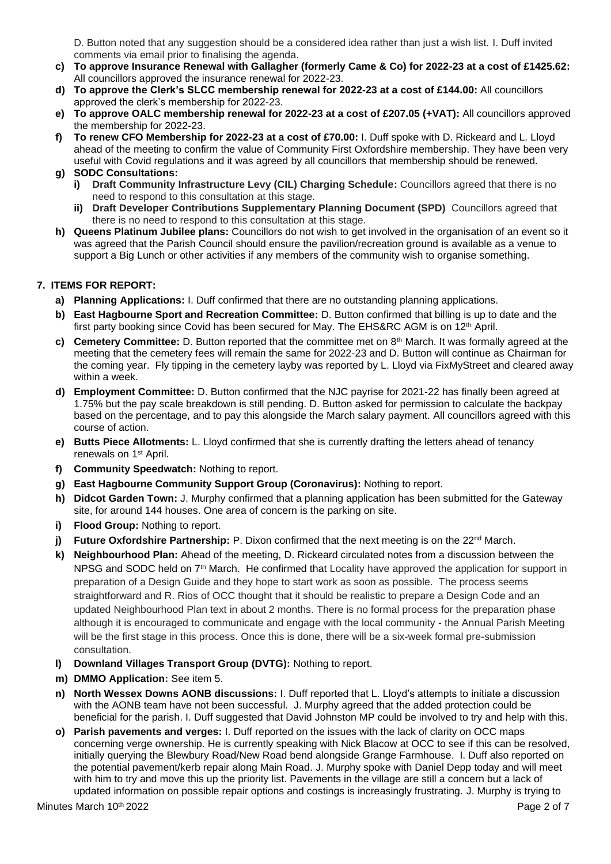D. Button noted that any suggestion should be a considered idea rather than just a wish list. I. Duff invited comments via email prior to finalising the agenda.

- **c) To approve Insurance Renewal with Gallagher (formerly Came & Co) for 2022-23 at a cost of £1425.62:** All councillors approved the insurance renewal for 2022-23.
- **d) To approve the Clerk's SLCC membership renewal for 2022-23 at a cost of £144.00:** All councillors approved the clerk's membership for 2022-23.
- **e) To approve OALC membership renewal for 2022-23 at a cost of £207.05 (+VAT):** All councillors approved the membership for 2022-23.
- **f) To renew CFO Membership for 2022-23 at a cost of £70.00:** I. Duff spoke with D. Rickeard and L. Lloyd ahead of the meeting to confirm the value of Community First Oxfordshire membership. They have been very useful with Covid regulations and it was agreed by all councillors that membership should be renewed.
- **g) SODC Consultations:**
	- **i) Draft Community Infrastructure Levy (CIL) Charging Schedule:** Councillors agreed that there is no need to respond to this consultation at this stage.
	- **ii) Draft Developer Contributions Supplementary Planning Document (SPD)** Councillors agreed that there is no need to respond to this consultation at this stage.
- **h) Queens Platinum Jubilee plans:** Councillors do not wish to get involved in the organisation of an event so it was agreed that the Parish Council should ensure the pavilion/recreation ground is available as a venue to support a Big Lunch or other activities if any members of the community wish to organise something.

# **7. ITEMS FOR REPORT:**

- **a) Planning Applications:** I. Duff confirmed that there are no outstanding planning applications.
- **b) East Hagbourne Sport and Recreation Committee:** D. Button confirmed that billing is up to date and the first party booking since Covid has been secured for May. The EHS&RC AGM is on 12<sup>th</sup> April.
- **c) Cemetery Committee:** D. Button reported that the committee met on 8th March. It was formally agreed at the meeting that the cemetery fees will remain the same for 2022-23 and D. Button will continue as Chairman for the coming year. Fly tipping in the cemetery layby was reported by L. Lloyd via FixMyStreet and cleared away within a week.
- **d) Employment Committee:** D. Button confirmed that the NJC payrise for 2021-22 has finally been agreed at 1.75% but the pay scale breakdown is still pending. D. Button asked for permission to calculate the backpay based on the percentage, and to pay this alongside the March salary payment. All councillors agreed with this course of action.
- **e) Butts Piece Allotments:** L. Lloyd confirmed that she is currently drafting the letters ahead of tenancy renewals on 1st April.
- **f) Community Speedwatch:** Nothing to report.
- **g) East Hagbourne Community Support Group (Coronavirus):** Nothing to report.
- **h) Didcot Garden Town:** J. Murphy confirmed that a planning application has been submitted for the Gateway site, for around 144 houses. One area of concern is the parking on site.
- **i) Flood Group:** Nothing to report.
- **j)** Future Oxfordshire Partnership: P. Dixon confirmed that the next meeting is on the 22<sup>nd</sup> March.
- **k) Neighbourhood Plan:** Ahead of the meeting, D. Rickeard circulated notes from a discussion between the NPSG and SODC held on 7<sup>th</sup> March. He confirmed that Locality have approved the application for support in preparation of a Design Guide and they hope to start work as soon as possible. The process seems straightforward and R. Rios of OCC thought that it should be realistic to prepare a Design Code and an updated Neighbourhood Plan text in about 2 months. There is no formal process for the preparation phase although it is encouraged to communicate and engage with the local community - the Annual Parish Meeting will be the first stage in this process. Once this is done, there will be a six-week formal pre-submission consultation.
- **l) Downland Villages Transport Group (DVTG):** Nothing to report.
- **m) DMMO Application:** See item 5.
- **n) North Wessex Downs AONB discussions:** I. Duff reported that L. Lloyd's attempts to initiate a discussion with the AONB team have not been successful. J. Murphy agreed that the added protection could be beneficial for the parish. I. Duff suggested that David Johnston MP could be involved to try and help with this.
- **o) Parish pavements and verges:** I. Duff reported on the issues with the lack of clarity on OCC maps concerning verge ownership. He is currently speaking with Nick Blacow at OCC to see if this can be resolved, initially querying the Blewbury Road/New Road bend alongside Grange Farmhouse. I. Duff also reported on the potential pavement/kerb repair along Main Road. J. Murphy spoke with Daniel Depp today and will meet with him to try and move this up the priority list. Pavements in the village are still a concern but a lack of updated information on possible repair options and costings is increasingly frustrating. J. Murphy is trying to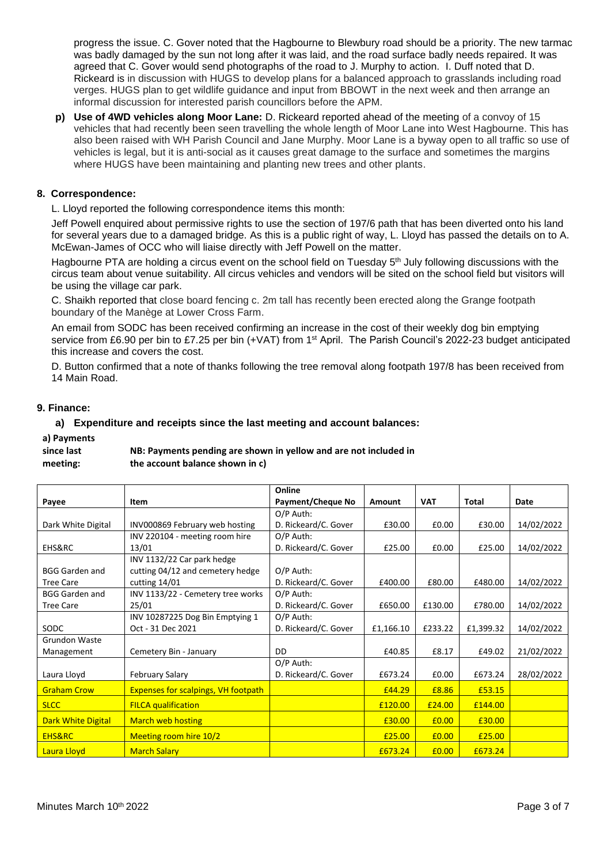progress the issue. C. Gover noted that the Hagbourne to Blewbury road should be a priority. The new tarmac was badly damaged by the sun not long after it was laid, and the road surface badly needs repaired. It was agreed that C. Gover would send photographs of the road to J. Murphy to action. I. Duff noted that D. Rickeard is in discussion with HUGS to develop plans for a balanced approach to grasslands including road verges. HUGS plan to get wildlife guidance and input from BBOWT in the next week and then arrange an informal discussion for interested parish councillors before the APM.

**p) Use of 4WD vehicles along Moor Lane:** D. Rickeard reported ahead of the meeting of a convoy of 15 vehicles that had recently been seen travelling the whole length of Moor Lane into West Hagbourne. This has also been raised with WH Parish Council and Jane Murphy. Moor Lane is a byway open to all traffic so use of vehicles is legal, but it is anti-social as it causes great damage to the surface and sometimes the margins where HUGS have been maintaining and planting new trees and other plants.

# **8. Correspondence:**

L. Lloyd reported the following correspondence items this month:

Jeff Powell enquired about permissive rights to use the section of 197/6 path that has been diverted onto his land for several years due to a damaged bridge. As this is a public right of way, L. Lloyd has passed the details on to A. McEwan-James of OCC who will liaise directly with Jeff Powell on the matter.

Hagbourne PTA are holding a circus event on the school field on Tuesday 5<sup>th</sup> July following discussions with the circus team about venue suitability. All circus vehicles and vendors will be sited on the school field but visitors will be using the village car park.

C. Shaikh reported that close board fencing c. 2m tall has recently been erected along the Grange footpath boundary of the Manège at Lower Cross Farm.

An email from SODC has been received confirming an increase in the cost of their weekly dog bin emptying service from £6.90 per bin to £7.25 per bin (+VAT) from 1<sup>st</sup> April. The Parish Council's 2022-23 budget anticipated this increase and covers the cost.

D. Button confirmed that a note of thanks following the tree removal along footpath 197/8 has been received from 14 Main Road.

# **9. Finance:**

### **a) Expenditure and receipts since the last meeting and account balances:**

**a) Payments** 

| since last | NB: Payments pending are shown in yellow and are not included in |
|------------|------------------------------------------------------------------|
| meeting:   | the account balance shown in c)                                  |

|                           |                                            | Online                   |           |                   |           |            |
|---------------------------|--------------------------------------------|--------------------------|-----------|-------------------|-----------|------------|
| Payee                     | Item                                       | <b>Payment/Cheque No</b> | Amount    | <b>VAT</b>        | Total     | Date       |
|                           |                                            | O/P Auth:                |           |                   |           |            |
| Dark White Digital        | INV000869 February web hosting             | D. Rickeard/C. Gover     | £30.00    | £0.00             | £30.00    | 14/02/2022 |
|                           | INV 220104 - meeting room hire             | $O/P$ Auth:              |           |                   |           |            |
| EHS&RC                    | 13/01                                      | D. Rickeard/C. Gover     | £25.00    | £0.00             | £25.00    | 14/02/2022 |
|                           | INV 1132/22 Car park hedge                 |                          |           |                   |           |            |
| <b>BGG Garden and</b>     | cutting 04/12 and cemetery hedge           | O/P Auth:                |           |                   |           |            |
| <b>Tree Care</b>          | cutting 14/01                              | D. Rickeard/C. Gover     | £400.00   | £80.00            | £480.00   | 14/02/2022 |
| <b>BGG Garden and</b>     | INV 1133/22 - Cemetery tree works          | O/P Auth:                |           |                   |           |            |
| <b>Tree Care</b>          | 25/01                                      | D. Rickeard/C. Gover     | £650.00   | £130.00           | £780.00   | 14/02/2022 |
|                           | INV 10287225 Dog Bin Emptying 1            | O/P Auth:                |           |                   |           |            |
| SODC                      | Oct - 31 Dec 2021                          | D. Rickeard/C. Gover     | £1,166.10 | £233.22           | £1,399.32 | 14/02/2022 |
| <b>Grundon Waste</b>      |                                            |                          |           |                   |           |            |
| Management                | Cemetery Bin - January                     | DD                       | £40.85    | £8.17             | £49.02    | 21/02/2022 |
|                           |                                            | O/P Auth:                |           |                   |           |            |
| Laura Lloyd               | <b>February Salary</b>                     | D. Rickeard/C. Gover     | £673.24   | £0.00             | £673.24   | 28/02/2022 |
| <b>Graham Crow</b>        | <b>Expenses for scalpings, VH footpath</b> |                          | £44.29    | £8.86             | £53.15    |            |
| <b>SLCC</b>               | <b>FILCA</b> qualification                 |                          | £120.00   | £24.00            | £144.00   |            |
| <b>Dark White Digital</b> | <b>March web hosting</b>                   |                          | £30.00    | £0.00             | £30.00    |            |
| EHS&RC                    | Meeting room hire 10/2                     |                          | £25.00    | £0.00             | £25.00    |            |
| Laura Lloyd               | <b>March Salary</b>                        |                          | £673.24   | E <sub>0.00</sub> | £673.24   |            |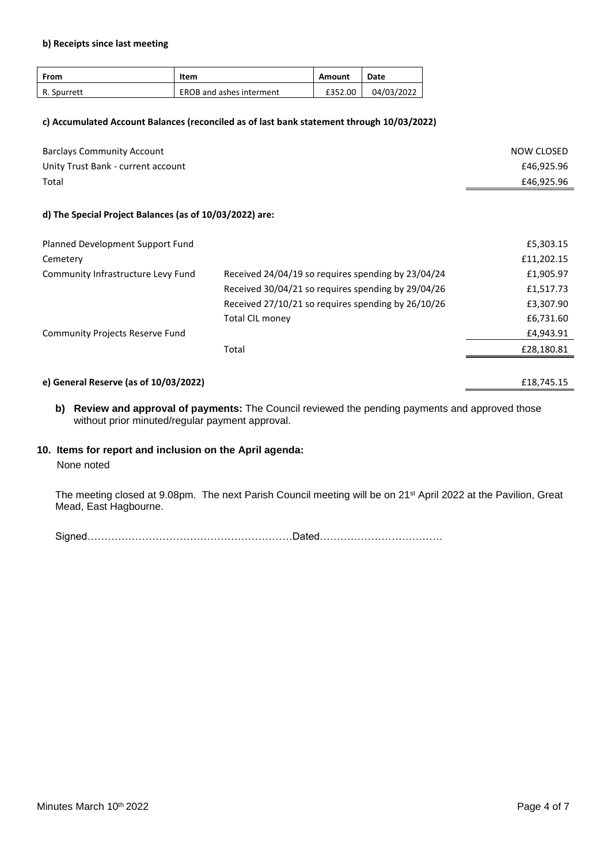#### **b) Receipts since last meeting**

| From        | Item                     | Amount  | Date       |
|-------------|--------------------------|---------|------------|
| R. Spurrett | EROB and ashes interment | £352.00 | 04/03/2022 |

#### **c) Accumulated Account Balances (reconciled as of last bank statement through 10/03/2022)**

| NOW CLOSED |
|------------|
| £46,925.96 |
| £46,925.96 |
|            |

#### **d) The Special Project Balances (as of 10/03/2022) are:**

|                                                    | £5,303.15  |
|----------------------------------------------------|------------|
|                                                    | £11,202.15 |
| Received 24/04/19 so requires spending by 23/04/24 | £1,905.97  |
| Received 30/04/21 so requires spending by 29/04/26 | £1,517.73  |
| Received 27/10/21 so requires spending by 26/10/26 | £3,307.90  |
| <b>Total CIL money</b>                             | £6,731.60  |
|                                                    | £4,943.91  |
| Total                                              | £28,180.81 |
|                                                    |            |
|                                                    |            |

### **e) General Reserve (as of 10/03/2022)** £18,745.15

**b) Review and approval of payments:** The Council reviewed the pending payments and approved those without prior minuted/regular payment approval.

### **10. Items for report and inclusion on the April agenda:**

# None noted

The meeting closed at 9.08pm. The next Parish Council meeting will be on 21st April 2022 at the Pavilion, Great Mead, East Hagbourne.

Signed……………………………………………………Dated………………………………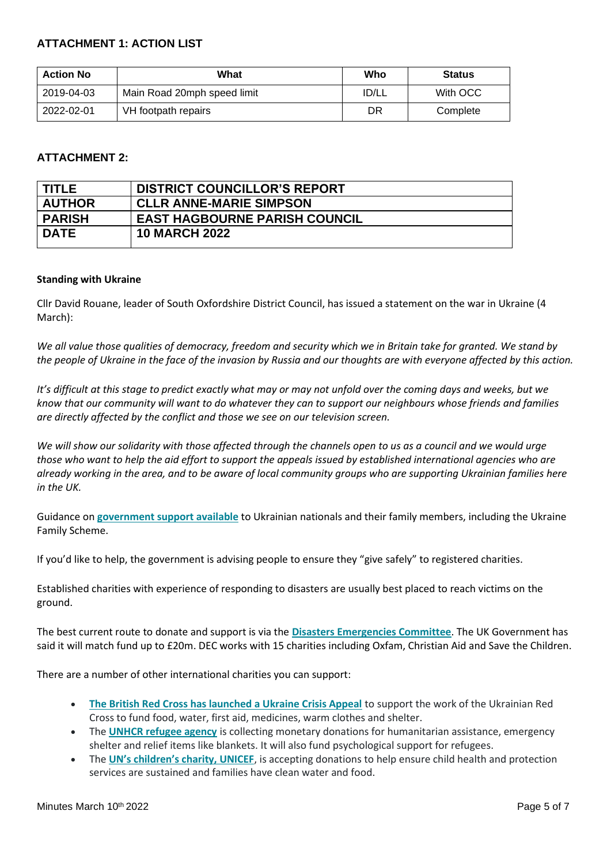# **ATTACHMENT 1: ACTION LIST**

| <b>Action No</b> | What                        | Who          | <b>Status</b> |
|------------------|-----------------------------|--------------|---------------|
| 2019-04-03       | Main Road 20mph speed limit | <b>ID/LL</b> | With OCC      |
| 2022-02-01       | VH footpath repairs         | DR           | Complete      |

# **ATTACHMENT 2:**

| <b>TITLE</b>  | <b>DISTRICT COUNCILLOR'S REPORT</b>  |
|---------------|--------------------------------------|
| <b>AUTHOR</b> | <b>CLLR ANNE-MARIE SIMPSON</b>       |
| <b>PARISH</b> | <b>EAST HAGBOURNE PARISH COUNCIL</b> |
| <b>DATE</b>   | <b>10 MARCH 2022</b>                 |
|               |                                      |

# **Standing with Ukraine**

Cllr David Rouane, leader of South Oxfordshire District Council, has issued a statement on the war in Ukraine (4 March):

*We all value those qualities of democracy, freedom and security which we in Britain take for granted. We stand by the people of Ukraine in the face of the invasion by Russia and our thoughts are with everyone affected by this action.*

*It's difficult at this stage to predict exactly what may or may not unfold over the coming days and weeks, but we know that our community will want to do whatever they can to support our neighbours whose friends and families are directly affected by the conflict and those we see on our television screen.*

*We will show our solidarity with those affected through the channels open to us as a council and we would urge those who want to help the aid effort to support the appeals issued by established international agencies who are already working in the area, and to be aware of local community groups who are supporting Ukrainian families here in the UK.*

Guidance on **[government support available](https://www.gov.uk/guidance/support-for-family-members-of-british-nationals-in-ukraine-and-ukrainian-nationals-in-ukraine-and-the-uk)** to Ukrainian nationals and their family members, including the Ukraine Family Scheme.

If you'd like to help, the government is advising people to ensure they "give safely" to registered charities.

Established charities with experience of responding to disasters are usually best placed to reach victims on the ground.

The best current route to donate and support is via the **[Disasters Emergencies Committee](https://www.dec.org.uk/appeal/ukraine-humanitarian-appeal)**. The UK Government has said it will match fund up to £20m. DEC works with 15 charities including Oxfam, Christian Aid and Save the Children.

There are a number of other international charities you can support:

- **[The British Red Cross has launched a Ukraine Crisis Appeal](https://donate.redcross.org.uk/appeal/ukraine-crisis-appeal?c_code=175151&c_source=google&c_name=Ukraine%20Crisis%20Appeal&adg=&c_creative=generic&c_medium=cpc&gclid=CjwKCAiApfeQBhAUEiwA7K_UH1lOr-uSFgzOIbJZF4K9YS5SbjUi_bhRzao7wv6Bh52Qz6Ua_GI62RoCGMwQAvD_BwE)** to support the work of the Ukrainian Red Cross to fund food, water, first aid, medicines, warm clothes and shelter.
- The **[UNHCR refugee agency](https://www.unhcr.org/uk/)** is collecting monetary donations for humanitarian assistance, emergency shelter and relief items like blankets. It will also fund psychological support for refugees.
- The **[UN's children's charity, UNICEF](https://www.unicef.org.uk/)**, is accepting donations to help ensure child health and protection services are sustained and families have clean water and food.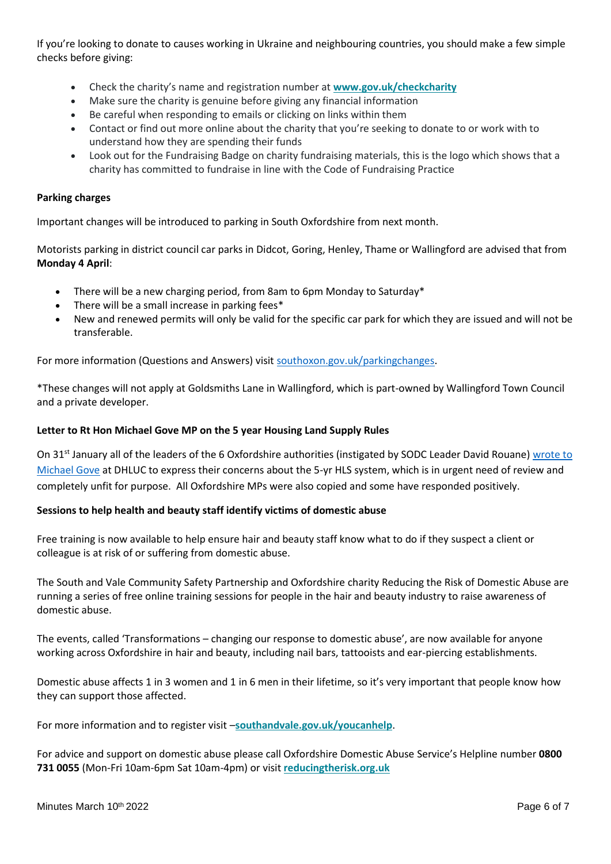If you're looking to donate to causes working in Ukraine and neighbouring countries, you should make a few simple checks before giving:

- Check the charity's name and registration number at **[www.gov.uk/checkcharity](http://www.gov.uk/checkcharity)**
- Make sure the charity is genuine before giving any financial information
- Be careful when responding to emails or clicking on links within them
- Contact or find out more online about the charity that you're seeking to donate to or work with to understand how they are spending their funds
- Look out for the Fundraising Badge on charity fundraising materials, this is the logo which shows that a charity has committed to fundraise in line with the Code of Fundraising Practice

# **Parking charges**

Important changes will be introduced to parking in South Oxfordshire from next month.

Motorists parking in district council car parks in Didcot, Goring, Henley, Thame or Wallingford are advised that from **Monday 4 April**:

- There will be a new charging period, from 8am to 6pm Monday to Saturday\*
- There will be a small increase in parking fees\*
- New and renewed permits will only be valid for the specific car park for which they are issued and will not be transferable.

For more information (Questions and Answers) visi[t southoxon.gov.uk/parkingchanges.](http://www.southoxon.gov.uk/parkingchanges)

\*These changes will not apply at Goldsmiths Lane in Wallingford, which is part-owned by Wallingford Town Council and a private developer.

# **Letter to Rt Hon Michael Gove MP on the 5 year Housing Land Supply Rules**

On 31<sup>st</sup> January all of the leaders of the 6 Oxfordshire authorities (instigated by SODC Leader David Rouane) wrote to [Michael Gove](https://www.southoxon.gov.uk/wp-content/uploads/sites/2/2022/02/Oxfordshire-Leaders-5-year-land-supply-letter-.pdf) at DHLUC to express their concerns about the 5-yr HLS system, which is in urgent need of review and completely unfit for purpose. All Oxfordshire MPs were also copied and some have responded positively.

# **Sessions to help health and beauty staff identify victims of domestic abuse**

Free training is now available to help ensure hair and beauty staff know what to do if they suspect a client or colleague is at risk of or suffering from domestic abuse.

The South and Vale Community Safety Partnership and Oxfordshire charity Reducing the Risk of Domestic Abuse are running a series of free online training sessions for people in the hair and beauty industry to raise awareness of domestic abuse.

The events, called 'Transformations – changing our response to domestic abuse', are now available for anyone working across Oxfordshire in hair and beauty, including nail bars, tattooists and ear-piercing establishments.

Domestic abuse affects 1 in 3 women and 1 in 6 men in their lifetime, so it's very important that people know how they can support those affected.

For more information and to register visit –**[southandvale.gov.uk/youcanhelp](http://www.southandvale.gov.uk/youcanhelp)**.

For advice and support on domestic abuse please call Oxfordshire Domestic Abuse Service's Helpline number **0800 731 0055** (Mon-Fri 10am-6pm Sat 10am-4pm) or visit **[reducingtherisk.org.uk](http://www.reducingtherisk.org.uk/)**